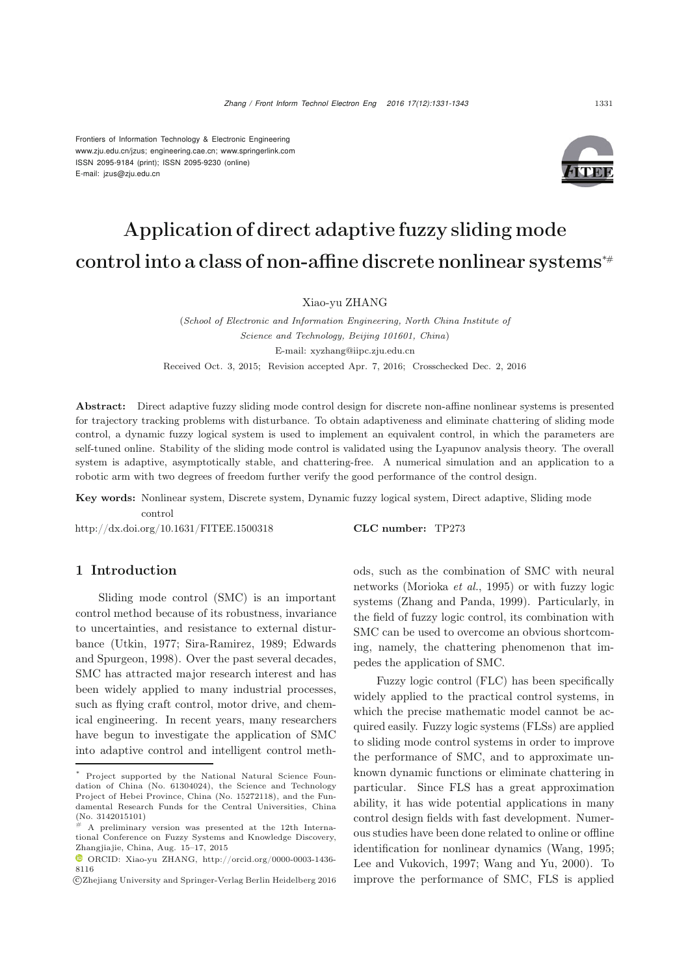Frontiers of Information Technology & Electronic Engineering www.zju.edu.cn/jzus; engineering.cae.cn; www.springerlink.com ISSN 2095-9184 (print); ISSN 2095-9230 (online) E-mail: jzus@zju.edu.cn



# Application of direct adaptive fuzzy sliding mode control into a class of non-affine discrete nonlinear systems∗#

Xiao-yu ZHANG

(*School of Electronic and Information Engineering, North China Institute of Science and Technology, Beijing 101601, China*) E-mail: xyzhang@iipc.zju.edu.cn Received Oct. 3, 2015; Revision accepted Apr. 7, 2016; Crosschecked Dec. 2, 2016

Abstract: Direct adaptive fuzzy sliding mode control design for discrete non-affine nonlinear systems is presented for trajectory tracking problems with disturbance. To obtain adaptiveness and eliminate chattering of sliding mode control, a dynamic fuzzy logical system is used to implement an equivalent control, in which the parameters are self-tuned online. Stability of the sliding mode control is validated using the Lyapunov analysis theory. The overall system is adaptive, asymptotically stable, and chattering-free. A numerical simulation and an application to a robotic arm with two degrees of freedom further verify the good performance of the control design.

Key words: Nonlinear system, Discrete system, Dynamic fuzzy logical system, Direct adaptive, Sliding mode control

http://dx.doi.org/10.1631/FITEE.1500318 **CLC number:** TP273

# 1 Introduction

Sliding mode control (SMC) is an important control method because of its robustness, invariance to uncertainties, and resistance to external disturbance [\(Utkin](#page-12-0)[,](#page-11-0) [1977](#page-12-0)[;](#page-11-0) [Sira-Ramirez](#page-12-1)[,](#page-11-0) [1989](#page-12-1)[;](#page-11-0) Edwards and Spurgeon, [1998](#page-11-0)). Over the past several decades, SMC has attracted major research interest and has been widely applied to many industrial processes, such as flying craft control, motor drive, and chemical engineering. In recent years, many researchers have begun to investigate the application of SMC into adaptive control and intelligent control methods, such as the combination of SMC with neural networks [\(Morioka](#page-12-2) *et al.*, [1995](#page-12-2)) or with fuzzy logic systems [\(Zhang and Panda, 1999](#page-12-3)). Particularly, in the field of fuzzy logic control, its combination with SMC can be used to overcome an obvious shortcoming, namely, the chattering phenomenon that impedes the application of SMC.

Fuzzy logic control (FLC) has been specifically widely applied to the practical control systems, in which the precise mathematic model cannot be acquired easily. Fuzzy logic systems (FLSs) are applied to sliding mode control systems in order to improve the performance of SMC, and to approximate unknown dynamic functions or eliminate chattering in particular. Since FLS has a great approximation ability, it has wide potential applications in many control design fields with fast development. Numerous studies have been done related to online or offline identification for nonlinear dynamics [\(Wang, 1995;](#page-12-4) [Lee and Vukovich, 1997;](#page-11-1) [Wang and Yu](#page-12-5), [2000](#page-12-5)). To improve the performance of SMC, FLS is applied

Project supported by the National Natural Science Foundation of China (No. 61304024), the Science and Technology Project of Hebei Province, China (No. 15272118), and the Fundamental Research Funds for the Central Universities, China (No. 3142015101)

A preliminary version was presented at the 12th International Conference on Fuzzy Systems and Knowledge Discovery, Zhangjiajie, China, Aug. 15–17, 2015

ORCID: Xiao-yu ZHANG, http://orcid.org/0000-0003-1436- 8116

c Zhejiang University and Springer-Verlag Berlin Heidelberg 2016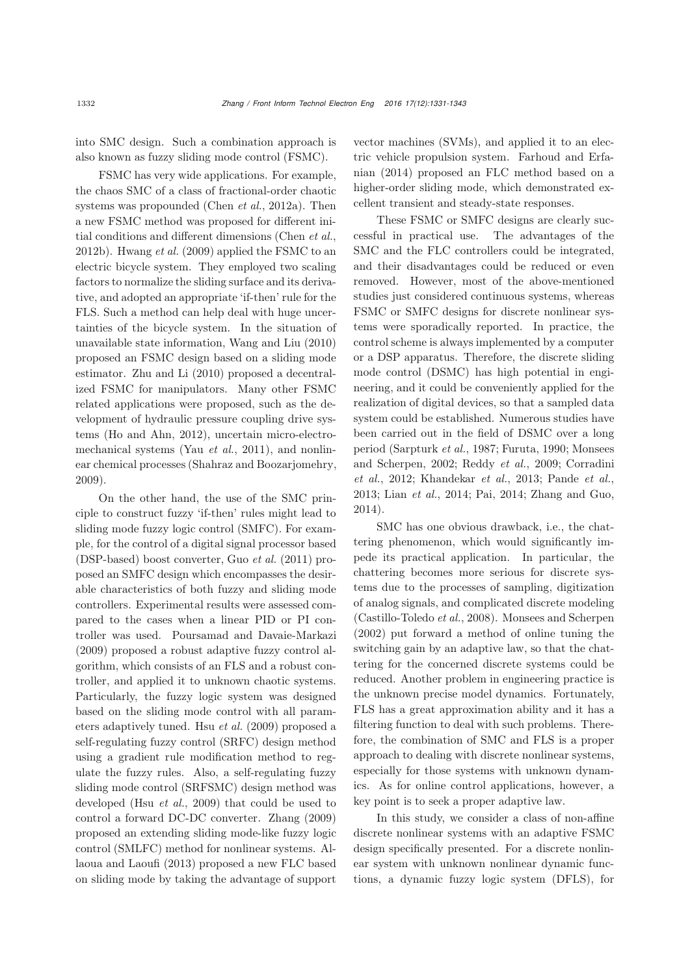into SMC design. Such a combination approach is also known as fuzzy sliding mode control (FSMC).

FSMC has very wide applications. For example, the chaos SMC of a class of fractional-order chaotic systems was propounded [\(Chen](#page-11-2) *et al.*, [2012a](#page-11-2)). Then a new FSMC method was proposed for different initial conditions and different dimensions [\(Chen](#page-11-3) *et al.*, [2012b\)](#page-11-3). [Hwang](#page-11-4) *et al.* [\(2009](#page-11-4)) applied the FSMC to an electric bicycle system. They employed two scaling factors to normalize the sliding surface and its derivative, and adopted an appropriate 'if-then' rule for the FLS. Such a method can help deal with huge uncertainties of the bicycle system. In the situation of unavailable state information, [Wang and Liu](#page-12-6) [\(2010](#page-12-6)) proposed an FSMC design based on a sliding mode estimator. [Zhu and Li](#page-12-7) [\(2010\)](#page-12-7) proposed a decentralized FSMC for manipulators. Many other FSMC related applications were proposed, such as the development of hydraulic pressure coupling drive systems [\(Ho and Ahn](#page-11-5), [2012](#page-11-5)), uncertain micro-electromechanical systems (Yau *[et al.](#page-12-8)*, [2011](#page-12-8)), and nonlinear chemical processes [\(Shahraz and Boozarjomehry,](#page-12-9) [2009](#page-12-9)).

On the other hand, the use of the SMC principle to construct fuzzy 'if-then' rules might lead to sliding mode fuzzy logic control (SMFC). For example, for the control of a digital signal processor based (DSP-based) boost converter, Guo *[et al.](#page-11-6)* [\(2011\)](#page-11-6) proposed an SMFC design which encompasses the desirable characteristics of both fuzzy and sliding mode controllers. Experimental results were assessed compared to the cases when a linear PID or PI controller was used. [Poursamad and Davaie-Markazi](#page-12-10) [\(2009](#page-12-10)) proposed a robust adaptive fuzzy control algorithm, which consists of an FLS and a robust controller, and applied it to unknown chaotic systems. Particularly, the fuzzy logic system was designed based on the sliding mode control with all parameters adaptively tuned. Hsu *[et al.](#page-11-7)* [\(2009\)](#page-11-7) proposed a self-regulating fuzzy control (SRFC) design method using a gradient rule modification method to regulate the fuzzy rules. Also, a self-regulating fuzzy sliding mode control (SRFSMC) design method was developed (Hsu *[et al.](#page-11-7)*, [2009](#page-11-7)) that could be used to control a forward DC-DC converter. [Zhang](#page-12-11) [\(2009](#page-12-11)) proposed an extending sliding mode-like fuzzy logic control (SMLFC[\)](#page-11-8) [method](#page-11-8) [for](#page-11-8) [nonlinear](#page-11-8) [systems.](#page-11-8) Allaoua and Laoufi [\(2013](#page-11-8)) proposed a new FLC based on sliding mode by taking the advantage of support

vector machines (SVMs), and applied it to an electric [vehicle](#page-11-9) [propulsion](#page-11-9) [system.](#page-11-9) Farhoud and Erfanian [\(2014](#page-11-9)) proposed an FLC method based on a higher-order sliding mode, which demonstrated excellent transient and steady-state responses.

These FSMC or SMFC designs are clearly successful in practical use. The advantages of the SMC and the FLC controllers could be integrated, and their disadvantages could be reduced or even removed. However, most of the above-mentioned studies just considered continuous systems, whereas FSMC or SMFC designs for discrete nonlinear systems were sporadically reported. In practice, the control scheme is always implemented by a computer or a DSP apparatus. Therefore, the discrete sliding mode control (DSMC) has high potential in engineering, and it could be conveniently applied for the realization of digital devices, so that a sampled data system could be established. Numerous studies have been carried out in the field of DSMC over a long period [\(Sarpturk](#page-12-12) *et al.*[,](#page-12-13) [1987](#page-12-12)[;](#page-12-13) [Furuta](#page-11-10)[,](#page-12-13) [1990](#page-11-10)[;](#page-12-13) Monsees and [Scherpen,](#page-11-11) [2002](#page-12-13)[;](#page-11-11) [Reddy](#page-12-14) *et al.*, [2009;](#page-12-14) Corradini *et al.*, [2012;](#page-11-11) [Khandekar](#page-11-12) *et al.*, [2013](#page-11-12); [Pande](#page-12-15) *et al.*, [2013](#page-12-15); Lian *[et al.](#page-12-16)*, [2014](#page-12-16); [Pai, 2014;](#page-12-17) [Zhang and Guo](#page-12-18), [2014](#page-12-18)).

SMC has one obvious drawback, i.e., the chattering phenomenon, which would significantly impede its practical application. In particular, the chattering becomes more serious for discrete systems due to the processes of sampling, digitization of analog signals, and complicated discrete modeling [\(Castillo-Toledo](#page-11-13) *et al.*, [2008](#page-11-13)). [Monsees and Scherpen](#page-12-13) [\(2002](#page-12-13)) put forward a method of online tuning the switching gain by an adaptive law, so that the chattering for the concerned discrete systems could be reduced. Another problem in engineering practice is the unknown precise model dynamics. Fortunately, FLS has a great approximation ability and it has a filtering function to deal with such problems. Therefore, the combination of SMC and FLS is a proper approach to dealing with discrete nonlinear systems, especially for those systems with unknown dynamics. As for online control applications, however, a key point is to seek a proper adaptive law.

In this study, we consider a class of non-affine discrete nonlinear systems with an adaptive FSMC design specifically presented. For a discrete nonlinear system with unknown nonlinear dynamic functions, a dynamic fuzzy logic system (DFLS), for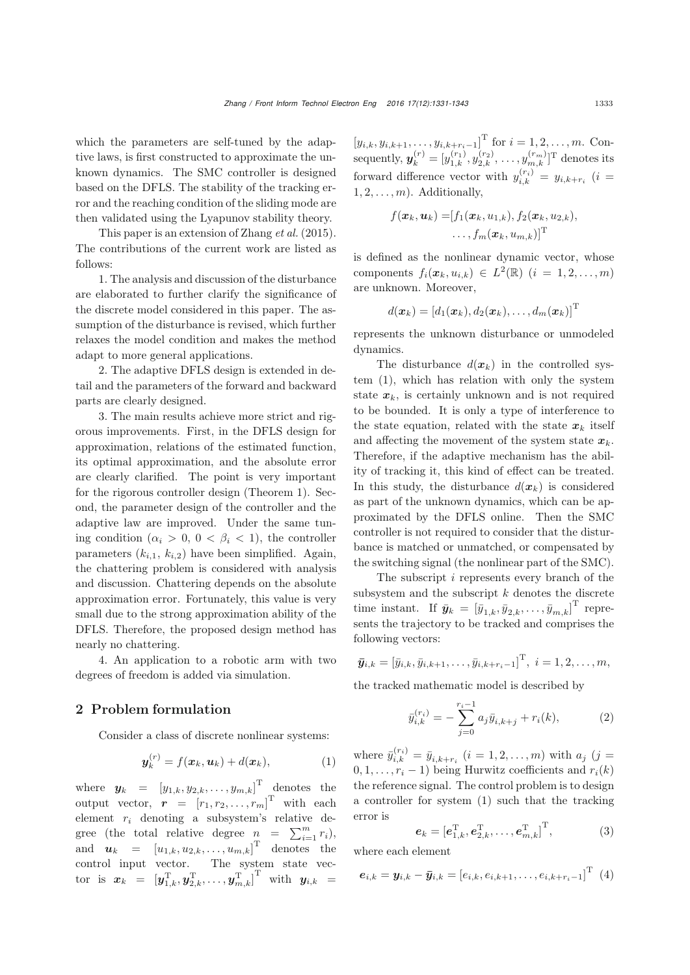which the parameters are self-tuned by the adaptive laws, is first constructed to approximate the unknown dynamics. The SMC controller is designed based on the DFLS. The stability of the tracking error and the reaching condition of the sliding mode are then validated using the Lyapunov stability theory.

This paper is an extension of [Zhang](#page-12-19) *et al.* [\(2015\)](#page-12-19). The contributions of the current work are listed as follows:

1. The analysis and discussion of the disturbance are elaborated to further clarify the significance of the discrete model considered in this paper. The assumption of the disturbance is revised, which further relaxes the model condition and makes the method adapt to more general applications.

2. The adaptive DFLS design is extended in detail and the parameters of the forward and backward parts are clearly designed.

3. The main results achieve more strict and rigorous improvements. First, in the DFLS design for approximation, relations of the estimated function, its optimal approximation, and the absolute error are clearly clarified. The point is very important for the rigorous controller design (Theorem 1). Second, the parameter design of the controller and the adaptive law are improved. Under the same tuning condition  $(\alpha_i > 0, 0 < \beta_i < 1)$ , the controller parameters  $(k_{i,1}, k_{i,2})$  have been simplified. Again, the chattering problem is considered with analysis and discussion. Chattering depends on the absolute approximation error. Fortunately, this value is very small due to the strong approximation ability of the DFLS. Therefore, the proposed design method has nearly no chattering.

4. An application to a robotic arm with two degrees of freedom is added via simulation.

## 2 Problem formulation

Consider a class of discrete nonlinear systems:

<span id="page-2-0"></span>
$$
\boldsymbol{y}_k^{(r)} = f(\boldsymbol{x}_k, \boldsymbol{u}_k) + d(\boldsymbol{x}_k), \tag{1}
$$

where  $y_k = [y_{1,k}, y_{2,k}, \dots, y_{m,k}]^{\text{T}}$  denotes the output vector,  $\mathbf{r} = [r_1, r_2, \dots, r_m]^{\text{T}}$  with each element  $r_n$  denoting a subsystem's relative deelement  $r_i$  denoting a subsystem's relative degree (the total relative degree  $n = \sum_{i=1}^{m} r_i$ ), and  $u_k = [u_{1,k}, u_{2,k}, \dots, u_{m,k}]^{\text{T}}$  denotes the control input vector. The system state vector is  $x_k = [y_{1,k}^T, y_{2,k}^T, \ldots, y_{m,k}^T]^T$  with  $y_{i,k} =$ 

 $[y_{i,k}, y_{i,k+1}, \ldots, y_{i,k+r_i-1}]^{\text{T}}$  for  $i = 1, 2, \ldots, m$ . Consequently,  $\mathbf{y}_k^{(r)} = [y_{1,k}^{(r_1)}, y_{2,k}^{(r_2)}, \ldots, y_{m,k}^{(r_m)}]^{\text{T}}$  denotes its forward difference vector with  $y_{i,k}^{(r_i)} = y_{i,k+r_i}$  (*i* = 1.2 m). Additionally  $1, 2, \ldots, m$ . Additionally,

$$
f(\boldsymbol{x}_k, \boldsymbol{u}_k) = [f_1(\boldsymbol{x}_k, u_{1,k}), f_2(\boldsymbol{x}_k, u_{2,k}),
$$

$$
\ldots, f_m(\boldsymbol{x}_k, u_{m,k})]^{\mathrm{T}}
$$

is defined as the nonlinear dynamic vector, whose components  $f_i(\boldsymbol{x}_k, u_{i,k}) \in L^2(\mathbb{R})$   $(i = 1, 2, \ldots, m)$ are unknown. Moreover,

$$
d(\boldsymbol{x}_k) = [d_1(\boldsymbol{x}_k), d_2(\boldsymbol{x}_k), \ldots, d_m(\boldsymbol{x}_k)]^\mathrm{T}
$$

represents the unknown disturbance or unmodeled dynamics.

The disturbance  $d(\mathbf{x}_k)$  in the controlled system [\(1\)](#page-2-0), which has relation with only the system state  $x_k$ , is certainly unknown and is not required to be bounded. It is only a type of interference to the state equation, related with the state  $x_k$  itself and affecting the movement of the system state  $x_k$ . Therefore, if the adaptive mechanism has the ability of tracking it, this kind of effect can be treated. In this study, the disturbance  $d(\boldsymbol{x}_k)$  is considered as part of the unknown dynamics, which can be approximated by the DFLS online. Then the SMC controller is not required to consider that the disturbance is matched or unmatched, or compensated by the switching signal (the nonlinear part of the SMC).

The subscript *i* represents every branch of the subsystem and the subscript  $k$  denotes the discrete time instant. If  $\bar{y}_k = [\bar{y}_{1,k}, \bar{y}_{2,k}, \dots, \bar{y}_{m,k}]$ <sup>T</sup> represents the trajectory to be tracked and comprises the following vectors:

$$
\bar{y}_{i,k} = [\bar{y}_{i,k}, \bar{y}_{i,k+1}, \ldots, \bar{y}_{i,k+r_i-1}]^{\mathrm{T}}, i = 1, 2, \ldots, m,
$$

the tracked mathematic model is described by

<span id="page-2-2"></span>
$$
\bar{y}_{i,k}^{(r_i)} = -\sum_{j=0}^{r_i-1} a_j \bar{y}_{i,k+j} + r_i(k),\tag{2}
$$

where  $\bar{y}_{i,k+r_i}^{(r_i)} = \bar{y}_{i,k+r_i}$   $(i = 1, 2, ..., m)$  with  $a_j$   $(j = 0, 1, ..., m)$  $0, 1, \ldots, r_i - 1$ ) being Hurwitz coefficients and  $r_i(k)$ the reference signal. The control problem is to design a controller for system [\(1\)](#page-2-0) such that the tracking error is

<span id="page-2-3"></span><span id="page-2-1"></span>
$$
e_k = [e_{1,k}^{\mathrm{T}}, e_{2,k}^{\mathrm{T}}, \dots, e_{m,k}^{\mathrm{T}}]^{\mathrm{T}}, \tag{3}
$$

where each element

$$
e_{i,k} = y_{i,k} - \bar{y}_{i,k} = [e_{i,k}, e_{i,k+1}, \ldots, e_{i,k+r_i-1}]^{\mathrm{T}} \ (4)
$$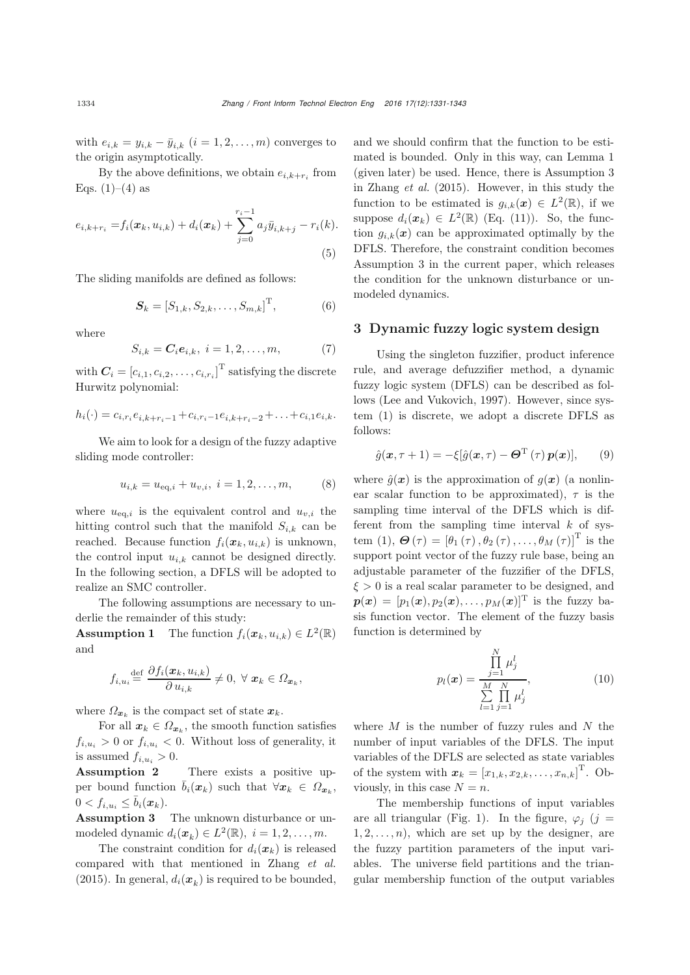with  $e_{i,k} = y_{i,k} - \bar{y}_{i,k}$   $(i = 1, 2, \ldots, m)$  converges to the origin asymptotically.

By the above definitions, we obtain  $e_{i,k+r_i}$  from Eqs.  $(1)–(4)$  $(1)–(4)$  $(1)–(4)$  as

$$
e_{i,k+r_i} = f_i(\boldsymbol{x}_k, u_{i,k}) + d_i(\boldsymbol{x}_k) + \sum_{j=0}^{r_i-1} a_j \bar{y}_{i,k+j} - r_i(k).
$$
\n(5)

The sliding manifolds are defined as follows:

<span id="page-3-4"></span>
$$
S_k = [S_{1,k}, S_{2,k}, \dots, S_{m,k}]^{\mathrm{T}}, \tag{6}
$$

where

<span id="page-3-5"></span>
$$
S_{i,k} = \mathbf{C}_i e_{i,k}, \ i = 1, 2, \dots, m,
$$
 (7)

with  $C_i = [c_{i,1}, c_{i,2}, \ldots, c_{i,r_i}]^{\text{T}}$  satisfying the discrete Hurwitz polynomial:

$$
h_i(\cdot) = c_{i,r_i}e_{i,k+r_i-1} + c_{i,r_i-1}e_{i,k+r_i-2} + \ldots + c_{i,1}e_{i,k}.
$$

We aim to look for a design of the fuzzy adaptive sliding mode controller:

<span id="page-3-2"></span>
$$
u_{i,k} = u_{\text{eq},i} + u_{v,i}, \ i = 1, 2, \dots, m,
$$
 (8)

where  $u_{eq,i}$  is the equivalent control and  $u_{v,i}$  the hitting control such that the manifold  $S_{i,k}$  can be reached. Because function  $f_i(\mathbf{x}_k, u_{i,k})$  is unknown, the control input  $u_{i,k}$  cannot be designed directly. In the following section, a DFLS will be adopted to realize an SMC controller.

The following assumptions are necessary to underlie the remainder of this study:

**Assumption 1** The function  $f_i(\boldsymbol{x}_k, u_{i,k}) \in L^2(\mathbb{R})$ and

$$
f_{i,u_i} \stackrel{\text{def}}{=} \frac{\partial f_i(\boldsymbol{x}_k, u_{i,k})}{\partial u_{i,k}} \neq 0, \ \forall \ \boldsymbol{x}_k \in \Omega_{\boldsymbol{x}_k},
$$

where  $\Omega_{\boldsymbol{x}_k}$  is the compact set of state  $\boldsymbol{x}_k$ .

For all  $x_k \in \Omega_{x_k}$ , the smooth function satisfies  $f_{i,u_i} > 0$  or  $f_{i,u_i} < 0$ . Without loss of generality, it is assumed  $f_{i,u_i} > 0$ .<br>**Assumption 2** 

There exists a positive upper bound function  $\bar{b}_i(x_k)$  such that  $\forall x_k \in \Omega_{x_k}$ ,  $0 < f_{i,u_i} \leq \bar{b}_i(\bm{x}_k).$ 

Assumption 3 The unknown disturbance or unmodeled dynamic  $d_i(\boldsymbol{x}_k) \in L^2(\mathbb{R}), i = 1, 2, \ldots, m.$ 

The constraint condition for  $d_i(\mathbf{x}_k)$  is released compared with that mentioned in [Zhang](#page-12-19) *et al.* [\(2015](#page-12-19)). In general,  $d_i(\boldsymbol{x}_k)$  is required to be bounded,

and we should confirm that the function to be estimated is bounded. Only in this way, can Lemma 1 (given later) be used. Hence, there is Assumption 3 in [Zhang](#page-12-19) *et al.* [\(2015\)](#page-12-19). However, in this study the function to be estimated is  $g_{i,k}(\boldsymbol{x}) \in L^2(\mathbb{R})$ , if we suppose  $d_i(\mathbf{x}_k) \in L^2(\mathbb{R})$  (Eq. [\(11\)](#page-5-0)). So, the function  $g_{i,k}(x)$  can be approximated optimally by the DFLS. Therefore, the constraint condition becomes Assumption 3 in the current paper, which releases the condition for the unknown disturbance or unmodeled dynamics.

# <span id="page-3-3"></span>3 Dynamic fuzzy logic system design

Using the singleton fuzzifier, product inference rule, and average defuzzifier method, a dynamic fuzzy logic system (DFLS) can be described as follows [\(Lee and Vukovich](#page-11-1), [1997\)](#page-11-1). However, since system [\(1\)](#page-2-0) is discrete, we adopt a discrete DFLS as follows:

<span id="page-3-1"></span>
$$
\hat{g}(\boldsymbol{x}, \tau + 1) = -\xi[\hat{g}(\boldsymbol{x}, \tau) - \boldsymbol{\Theta}^{\mathrm{T}}(\tau) \boldsymbol{p}(\boldsymbol{x})], \qquad (9)
$$

where  $\hat{g}(\boldsymbol{x})$  is the approximation of  $g(\boldsymbol{x})$  (a nonlinear scalar function to be approximated),  $\tau$  is the sampling time interval of the DFLS which is different from the sampling time interval  $k$  of sys-tem [\(1\)](#page-2-0),  $\boldsymbol{\Theta}(\tau)=[\theta_1(\tau), \theta_2(\tau),\ldots,\theta_M(\tau)]^{\mathrm{T}}$  is the support point vector of the fuzzy rule base, being an adjustable parameter of the fuzzifier of the DFLS,  $\xi > 0$  is a real scalar parameter to be designed, and  $p(x)=[p_1(x), p_2(x),\ldots,p_M(x)]^{\mathrm{T}}$  is the fuzzy basis function vector. The element of the fuzzy basis function is determined by

<span id="page-3-0"></span>
$$
p_l(\boldsymbol{x}) = \frac{\prod_{j=1}^{N} \mu_j^l}{\sum_{l=1}^{M} \prod_{j=1}^{N} \mu_j^l},
$$
(10)

where  $M$  is the number of fuzzy rules and  $N$  the number of input variables of the DFLS. The input variables of the DFLS are selected as state variables of the system with  $\boldsymbol{x}_k = [x_{1,k}, x_{2,k}, \dots, x_{n,k}]^{\mathrm{T}}$ . Ob-<br>viewely in this case  $N = n$ viously, in this case  $N = n$ .

The membership functions of input variables are all triangular (Fig. 1). In the figure,  $\varphi_i$  (j =  $1, 2, \ldots, n$ , which are set up by the designer, are the fuzzy partition parameters of the input variables. The universe field partitions and the triangular membership function of the output variables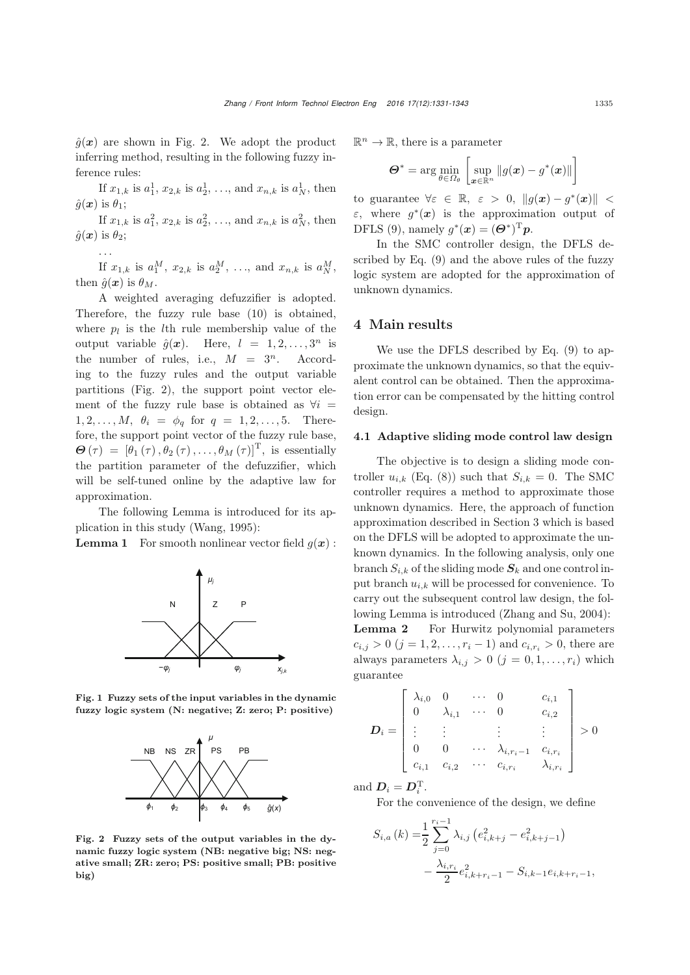$\hat{g}(\boldsymbol{x})$  are shown in Fig. 2. We adopt the product inferring method, resulting in the following fuzzy inference rules:

If  $x_{1,k}$  is  $a_1^1, x_{2,k}$  is  $a_2^1, \ldots$ , and  $x_{n,k}$  is  $a_N^1$ , then  $\hat{g}(\boldsymbol{x})$  is  $\theta_1$ ;

If  $x_{1,k}$  is  $a_1^2$ ,  $x_{2,k}$  is  $a_2^2$ , ..., and  $x_{n,k}$  is  $a_N^2$ , then  $\hat{g}(\boldsymbol{x})$  is  $\theta_2$ ;

If  $x_{1,k}$  is  $a_1^M$ ,  $x_{2,k}$  is  $a_2^M$ , ..., and  $x_{n,k}$  is  $a_N^M$ , then  $\hat{q}(\boldsymbol{x})$  is  $\theta_M$ .

...

A weighted averaging defuzzifier is adopted. Therefore, the fuzzy rule base [\(10\)](#page-3-0) is obtained, where  $p_l$  is the lth rule membership value of the output variable  $\hat{q}(x)$ . Here,  $l = 1, 2, ..., 3^n$  is the number of rules, i.e.,  $M = 3^n$ . According to the fuzzy rules and the output variable partitions (Fig. 2), the support point vector element of the fuzzy rule base is obtained as  $\forall i =$  $1, 2, \ldots, M, \theta_i = \phi_q$  for  $q = 1, 2, \ldots, 5$ . Therefore, the support point vector of the fuzzy rule base,  $\boldsymbol{\Theta}(\tau)=[\theta_1(\tau), \theta_2(\tau),\ldots,\theta_M(\tau)]^{\mathrm{T}}$ , is essentially the partition parameter of the defuzzifier, which will be self-tuned online by the adaptive law for approximation.

The following Lemma is introduced for its application in this study [\(Wang](#page-12-4), [1995](#page-12-4)):

**Lemma 1** For smooth nonlinear vector field  $q(x)$ :



Fig. 1 Fuzzy sets of the input variables in the dynamic fuzzy logic system (N: negative; Z: zero; P: positive)



Fig. 2 Fuzzy sets of the output variables in the dynamic fuzzy logic system (NB: negative big; NS: negative small; ZR: zero; PS: positive small; PB: positive big)

 $\mathbb{R}^n \to \mathbb{R}$ , there is a parameter

$$
\boldsymbol{\Theta}^* = \arg\min_{\theta \in \Omega_{\theta}} \left[ \sup_{\boldsymbol{x} \in \mathbb{R}^n} \| g(\boldsymbol{x}) - g^*(\boldsymbol{x}) \| \right]
$$

to guarantee  $\forall \varepsilon \in \mathbb{R}, \varepsilon > 0, \|g(\boldsymbol{x}) - g^*(\boldsymbol{x})\|$  $\varepsilon$ , where  $q^*(x)$  is the approximation output of DFLS [\(9\)](#page-3-1), namely  $q^*(x) = (\mathbf{\Theta}^*)^T p$ .

In the SMC controller design, the DFLS described by Eq. [\(9\)](#page-3-1) and the above rules of the fuzzy logic system are adopted for the approximation of unknown dynamics.

### 4 Main results

We use the DFLS described by Eq. [\(9\)](#page-3-1) to approximate the unknown dynamics, so that the equivalent control can be obtained. Then the approximation error can be compensated by the hitting control design.

# 4.1 Adaptive sliding mode control law design

The objective is to design a sliding mode controller  $u_{i,k}$  (Eq. [\(8\)](#page-3-2)) such that  $S_{i,k} = 0$ . The SMC controller requires a method to approximate those unknown dynamics. Here, the approach of function approximation described in Section 3 which is based on the DFLS will be adopted to approximate the unknown dynamics. In the following analysis, only one branch  $S_{i,k}$  of the sliding mode  $S_k$  and one control input branch  $u_{i,k}$  will be processed for convenience. To carry out the subsequent control law design, the following Lemma is introduced [\(Zhang and Su, 2004](#page-12-20)): Lemma 2 For Hurwitz polynomial parameters  $c_{i,j} > 0$   $(j = 1, 2, \ldots, r_i - 1)$  and  $c_{i,r_i} > 0$ , there are always parameters  $\lambda_{i,j} > 0$   $(j = 0, 1, \ldots, r_i)$  which guarantee

$$
D_{i} = \left[\begin{array}{cccc} \lambda_{i,0} & 0 & \cdots & 0 & c_{i,1} \\ 0 & \lambda_{i,1} & \cdots & 0 & c_{i,2} \\ \vdots & \vdots & & \vdots & \vdots \\ 0 & 0 & \cdots & \lambda_{i,r_{i}-1} & c_{i,r_{i}} \\ c_{i,1} & c_{i,2} & \cdots & c_{i,r_{i}} & \lambda_{i,r_{i}} \end{array}\right] > 0
$$

and  $D_i = D_i^{\mathrm{T}}$ .<br>For the set

For the convenience of the design, we define

$$
S_{i,a}(k) = \frac{1}{2} \sum_{j=0}^{r_i - 1} \lambda_{i,j} \left( e_{i,k+j}^2 - e_{i,k+j-1}^2 \right)
$$

$$
- \frac{\lambda_{i,r_i}}{2} e_{i,k+r_i-1}^2 - S_{i,k-1} e_{i,k+r_i-1},
$$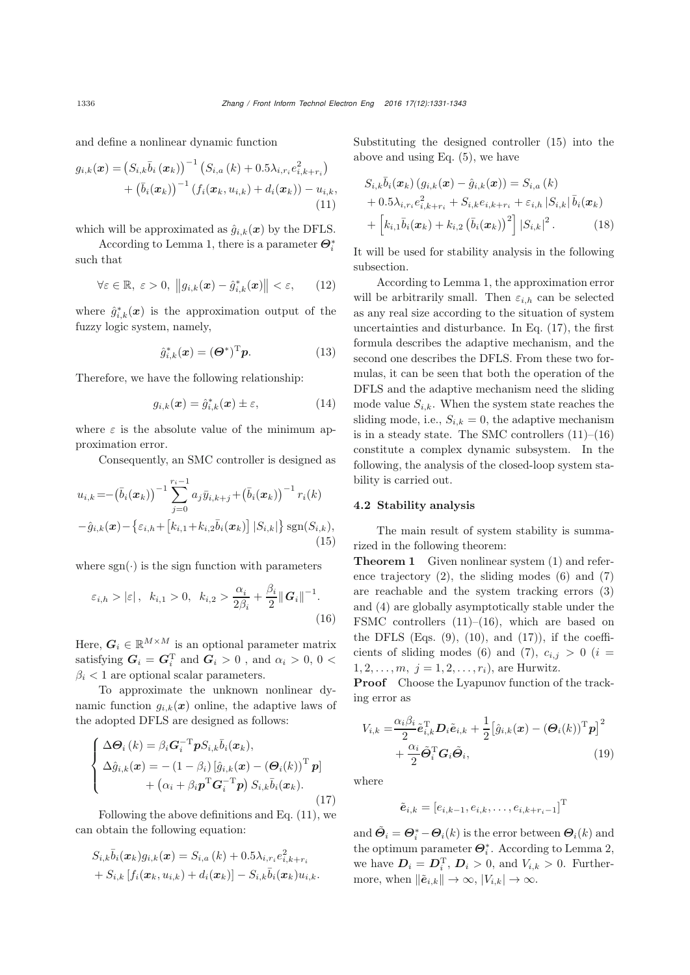and define a nonlinear dynamic function

$$
g_{i,k}(\boldsymbol{x}) = (S_{i,k}\bar{b}_i(\boldsymbol{x}_k))^{-1} (S_{i,a}(k) + 0.5\lambda_{i,r_i}e_{i,k+r_i}^2) + (\bar{b}_i(\boldsymbol{x}_k))^{-1} (f_i(\boldsymbol{x}_k, u_{i,k}) + d_i(\boldsymbol{x}_k)) - u_{i,k},
$$
\n(11)

which will be approximated as  $\hat{g}_{i,k}(x)$  by the DFLS.

According to Lemma 1, there is a parameter  $\boldsymbol{\Theta}_i^*$ such that

$$
\forall \varepsilon \in \mathbb{R}, \ \varepsilon > 0, \ \|g_{i,k}(\boldsymbol{x}) - \hat{g}_{i,k}^*(\boldsymbol{x})\| < \varepsilon, \qquad (12)
$$

where  $\hat{g}_{i,k}^*(\boldsymbol{x})$  is the approximation output of the fuzzy logic system, namely,

$$
\hat{g}_{i,k}^*(\boldsymbol{x}) = (\boldsymbol{\Theta}^*)^{\mathrm{T}} \boldsymbol{p}.
$$
 (13)

Therefore, we have the following relationship:

<span id="page-5-5"></span>
$$
g_{i,k}(\boldsymbol{x}) = \hat{g}_{i,k}^*(\boldsymbol{x}) \pm \varepsilon, \qquad (14)
$$

where  $\varepsilon$  is the absolute value of the minimum approximation error.

Consequently, an SMC controller is designed as

$$
u_{i,k} = -(\bar{b}_i(\boldsymbol{x}_k))^{-1} \sum_{j=0}^{r_i-1} a_j \bar{y}_{i,k+j} + (\bar{b}_i(\boldsymbol{x}_k))^{-1} r_i(k) - \hat{g}_{i,k}(\boldsymbol{x}) - \{\varepsilon_{i,h} + [k_{i,1} + k_{i,2}\bar{b}_i(\boldsymbol{x}_k)] | S_{i,k}| \} \operatorname{sgn}(S_{i,k}),
$$
\n(15)

where  $sgn(\cdot)$  is the sign function with parameters

$$
\varepsilon_{i,h} > |\varepsilon|, \ \ k_{i,1} > 0, \ \ k_{i,2} > \frac{\alpha_i}{2\beta_i} + \frac{\beta_i}{2} ||G_i||^{-1}.
$$
\n(16)

Here,  $G_i \in \mathbb{R}^{M \times M}$  is an optional parameter matrix satisfying  $G_i = G_i^T$  and  $G_i > 0$ , and  $\alpha_i > 0$ ,  $0 <$  $\beta_i$  < 1 are optional scalar parameters.

To approximate the unknown nonlinear dynamic function  $g_{i,k}(x)$  online, the adaptive laws of the adopted DFLS are designed as follows:

<span id="page-5-2"></span>
$$
\begin{cases}\n\Delta \boldsymbol{\Theta}_{i} \left(k\right) = \beta_{i} \boldsymbol{G}_{i}^{-\mathrm{T}} \boldsymbol{p} S_{i,k} \bar{b}_{i}(\boldsymbol{x}_{k}), \\
\Delta \hat{g}_{i,k}(\boldsymbol{x}) = -\left(1 - \beta_{i}\right) \left[\hat{g}_{i,k}(\boldsymbol{x}) - \left(\boldsymbol{\Theta}_{i}(k)\right)^{\mathrm{T}} \boldsymbol{p}\right] \\
+ \left(\alpha_{i} + \beta_{i} \boldsymbol{p}^{\mathrm{T}} \boldsymbol{G}_{i}^{-\mathrm{T}} \boldsymbol{p}\right) S_{i,k} \bar{b}_{i}(\boldsymbol{x}_{k}).\n\end{cases} (17)
$$

Following the above definitions and Eq. [\(11\)](#page-5-0), we can obtain the following equation:

$$
S_{i,k}\bar{b}_{i}(\boldsymbol{x}_{k})g_{i,k}(\boldsymbol{x})=S_{i,a}(k)+0.5\lambda_{i,r_{i}}e_{i,k+r_{i}}^{2} +S_{i,k}[f_{i}(\boldsymbol{x}_{k},u_{i,k})+d_{i}(\boldsymbol{x}_{k})]-S_{i,k}\bar{b}_{i}(\boldsymbol{x}_{k})u_{i,k}.
$$

Substituting the designed controller [\(15\)](#page-5-1) into the above and using Eq.  $(5)$ , we have

<span id="page-5-6"></span><span id="page-5-0"></span>
$$
S_{i,k}b_{i}(\boldsymbol{x}_{k}) (g_{i,k}(\boldsymbol{x}) - \hat{g}_{i,k}(\boldsymbol{x})) = S_{i,a} (k) + 0.5\lambda_{i,r_{i}}e_{i,k+r_{i}}^{2} + S_{i,k}e_{i,k+r_{i}} + \varepsilon_{i,h} |S_{i,k}| \bar{b}_{i}(\boldsymbol{x}_{k}) + \left[k_{i,1}\bar{b}_{i}(\boldsymbol{x}_{k}) + k_{i,2} (\bar{b}_{i}(\boldsymbol{x}_{k}))^{2}\right] |S_{i,k}|^{2}.
$$
 (18)

It will be used for stability analysis in the following subsection.

According to Lemma 1, the approximation error will be arbitrarily small. Then  $\varepsilon_{i,h}$  can be selected as any real size according to the situation of system uncertainties and disturbance. In Eq. [\(17\)](#page-5-2), the first formula describes the adaptive mechanism, and the second one describes the DFLS. From these two formulas, it can be seen that both the operation of the DFLS and the adaptive mechanism need the sliding mode value  $S_{i,k}$ . When the system state reaches the sliding mode, i.e.,  $S_{i,k} = 0$ , the adaptive mechanism is in a steady state. The SMC controllers  $(11)–(16)$  $(11)–(16)$  $(11)–(16)$ constitute a complex dynamic subsystem. In the following, the analysis of the closed-loop system stability is carried out.

#### 4.2 Stability analysis

<span id="page-5-1"></span>The main result of system stability is summarized in the following theorem:

<span id="page-5-3"></span>Theorem 1 Given nonlinear system [\(1\)](#page-2-0) and reference trajectory [\(2\)](#page-2-2), the sliding modes [\(6\)](#page-3-4) and [\(7\)](#page-3-5) are reachable and the system tracking errors [\(3\)](#page-2-3) and [\(4\)](#page-2-1) are globally asymptotically stable under the FSMC controllers [\(11\)](#page-5-0)–[\(16\)](#page-5-3), which are based on the DFLS (Eqs.  $(9)$ ,  $(10)$ , and  $(17)$ ), if the coeffi-cients of sliding modes [\(6\)](#page-3-4) and [\(7\)](#page-3-5),  $c_{i,j} > 0$  (i =  $1, 2, \ldots, m, i = 1, 2, \ldots, r_i$ , are Hurwitz.

Proof Choose the Lyapunov function of the tracking error as

$$
V_{i,k} = \frac{\alpha_i \beta_i}{2} \tilde{\boldsymbol{e}}_{i,k}^{\mathrm{T}} \boldsymbol{D}_i \tilde{\boldsymbol{e}}_{i,k} + \frac{1}{2} \left[ \hat{g}_{i,k} (\boldsymbol{x}) - (\boldsymbol{\Theta}_i(k))^{\mathrm{T}} \boldsymbol{p} \right]^2
$$

$$
+ \frac{\alpha_i}{2} \tilde{\boldsymbol{\Theta}}_i^{\mathrm{T}} \boldsymbol{G}_i \tilde{\boldsymbol{\Theta}}_i, \tag{19}
$$

where

<span id="page-5-4"></span>
$$
\tilde{\boldsymbol{e}}_{i,k} = \left[e_{i,k-1}, e_{i,k}, \ldots, e_{i,k+r_i-1}\right]^{\mathrm{T}}
$$

and  $\mathbf{\Theta}_i = \mathbf{\Theta}_i^* - \mathbf{\Theta}_i(k)$  is the error between  $\mathbf{\Theta}_i(k)$  and the optimum parameter  $\mathbf{\Theta}^*$ . According to Lamma 2. the optimum parameter  $\Theta_i^*$ . According to Lemma 2, we have  $D_i = D_i^{\mathrm{T}}$ ,  $D_i > 0$ , and  $V_{i,k} > 0$ . Furthermore, when  $\|\tilde{\boldsymbol{e}}_{i,k}\| \to \infty$ ,  $|V_{i,k}| \to \infty$ .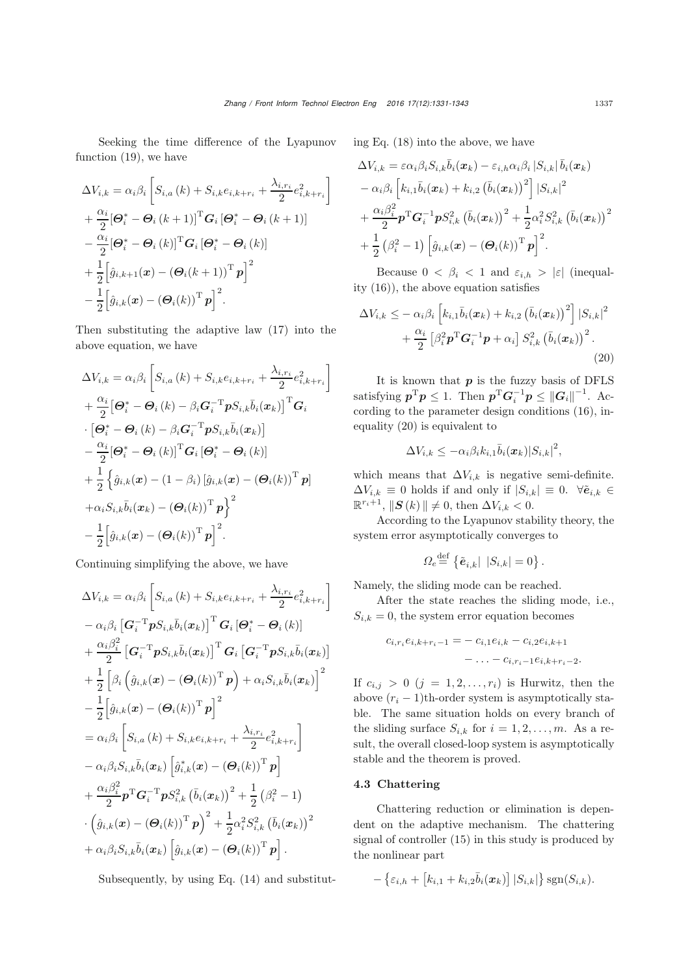Seeking the time difference of the Lyapunov function [\(19\)](#page-5-4), we have

$$
\Delta V_{i,k} = \alpha_i \beta_i \left[ S_{i,a}(k) + S_{i,k} e_{i,k+r_i} + \frac{\lambda_{i,r_i}}{2} e_{i,k+r_i}^2 \right] \n+ \frac{\alpha_i}{2} [\Theta_i^* - \Theta_i (k+1)]^{\mathrm{T}} G_i [\Theta_i^* - \Theta_i (k+1)] \n- \frac{\alpha_i}{2} [\Theta_i^* - \Theta_i (k)]^{\mathrm{T}} G_i [\Theta_i^* - \Theta_i (k)] \n+ \frac{1}{2} [\hat{g}_{i,k+1}(x) - (\Theta_i (k+1))^{\mathrm{T}} p ]^2 \n- \frac{1}{2} [\hat{g}_{i,k}(x) - (\Theta_i (k))^{\mathrm{T}} p ]^2.
$$

Then substituting the adaptive law [\(17\)](#page-5-2) into the above equation, we have

$$
\Delta V_{i,k} = \alpha_i \beta_i \left[ S_{i,a}(k) + S_{i,k} e_{i,k+r_i} + \frac{\lambda_{i,r_i}}{2} e_{i,k+r_i}^2 \right] \n+ \frac{\alpha_i}{2} \left[ \boldsymbol{\Theta}_i^* - \boldsymbol{\Theta}_i(k) - \beta_i \boldsymbol{G}_i^{-T} \boldsymbol{p} S_{i,k} \bar{b}_i(\boldsymbol{x}_k) \right]^T \boldsymbol{G}_i \n\cdot \left[ \boldsymbol{\Theta}_i^* - \boldsymbol{\Theta}_i(k) - \beta_i \boldsymbol{G}_i^{-T} \boldsymbol{p} S_{i,k} \bar{b}_i(\boldsymbol{x}_k) \right] \n- \frac{\alpha_i}{2} \left[ \boldsymbol{\Theta}_i^* - \boldsymbol{\Theta}_i(k) \right]^T \boldsymbol{G}_i \left[ \boldsymbol{\Theta}_i^* - \boldsymbol{\Theta}_i(k) \right] \n+ \frac{1}{2} \left\{ \hat{g}_{i,k}(\boldsymbol{x}) - (1 - \beta_i) \left[ \hat{g}_{i,k}(\boldsymbol{x}) - (\boldsymbol{\Theta}_i(k)) \right]^T \boldsymbol{p} \right\} \n+ \alpha_i S_{i,k} \bar{b}_i(\boldsymbol{x}_k) - (\boldsymbol{\Theta}_i(k))^T \boldsymbol{p} \right\}^2 \n- \frac{1}{2} \left[ \hat{g}_{i,k}(\boldsymbol{x}) - (\boldsymbol{\Theta}_i(k))^T \boldsymbol{p} \right]^2.
$$

Continuing simplifying the above, we have

$$
\Delta V_{i,k} = \alpha_i \beta_i \left[ S_{i,a}(k) + S_{i,k} e_{i,k+r_i} + \frac{\lambda_{i,r_i}}{2} e_{i,k+r_i}^2 \right]
$$
  
\n
$$
- \alpha_i \beta_i \left[ \mathbf{G}_i^{-T} \mathbf{p} S_{i,k} \bar{b}_i(\mathbf{x}_k) \right]^{\mathrm{T}} \mathbf{G}_i \left[ \mathbf{\Theta}_i^* - \mathbf{\Theta}_i(k) \right]
$$
  
\n
$$
+ \frac{\alpha_i \beta_i^2}{2} \left[ \mathbf{G}_i^{-T} \mathbf{p} S_{i,k} \bar{b}_i(\mathbf{x}_k) \right]^{\mathrm{T}} \mathbf{G}_i \left[ \mathbf{G}_i^{-T} \mathbf{p} S_{i,k} \bar{b}_i(\mathbf{x}_k) \right]
$$
  
\n
$$
+ \frac{1}{2} \left[ \beta_i \left( \hat{g}_{i,k}(\mathbf{x}) - (\mathbf{\Theta}_i(k))^{\mathrm{T}} \mathbf{p} \right) + \alpha_i S_{i,k} \bar{b}_i(\mathbf{x}_k) \right]^2
$$
  
\n
$$
- \frac{1}{2} \left[ \hat{g}_{i,k}(\mathbf{x}) - (\mathbf{\Theta}_i(k))^{\mathrm{T}} \mathbf{p} \right]^2
$$
  
\n
$$
= \alpha_i \beta_i \left[ S_{i,a}(k) + S_{i,k} e_{i,k+r_i} + \frac{\lambda_{i,r_i}}{2} e_{i,k+r_i}^2 \right]
$$
  
\n
$$
- \alpha_i \beta_i S_{i,k} \bar{b}_i(\mathbf{x}_k) \left[ \hat{g}_{i,k}^*(\mathbf{x}) - (\mathbf{\Theta}_i(k))^{\mathrm{T}} \mathbf{p} \right]
$$
  
\n
$$
+ \frac{\alpha_i \beta_i^2}{2} \mathbf{p}^{\mathrm{T}} \mathbf{G}_i^{-T} \mathbf{p} S_{i,k}^2 (\bar{b}_i(\mathbf{x}_k))^2 + \frac{1}{2} (\beta_i^2 - 1)
$$
  
\n
$$
\cdot \left( \hat{g}_{i,k}(\mathbf{x}) - (\mathbf{\Theta}_i(k))^{\mathrm{T}} \mathbf{p} \right)^2 + \frac{1}{2} \alpha_i^2 S_{i,k}^2 (\bar{b}_i(\mathbf{x}_k))^2
$$
  
\n
$$
+ \alpha_i \beta
$$

Subsequently, by using Eq. [\(14\)](#page-5-5) and substitut-

ing Eq. [\(18\)](#page-5-6) into the above, we have

$$
\Delta V_{i,k} = \varepsilon \alpha_i \beta_i S_{i,k} \bar{b}_i(\boldsymbol{x}_k) - \varepsilon_{i,h} \alpha_i \beta_i |S_{i,k}| \bar{b}_i(\boldsymbol{x}_k) \n- \alpha_i \beta_i \left[ k_{i,1} \bar{b}_i(\boldsymbol{x}_k) + k_{i,2} (\bar{b}_i(\boldsymbol{x}_k))^2 \right] |S_{i,k}|^2 \n+ \frac{\alpha_i \beta_i^2}{2} \boldsymbol{p}^{\mathrm{T}} \boldsymbol{G}_i^{-1} \boldsymbol{p} S_{i,k}^2 (\bar{b}_i(\boldsymbol{x}_k))^2 + \frac{1}{2} \alpha_i^2 S_{i,k}^2 (\bar{b}_i(\boldsymbol{x}_k))^2 \n+ \frac{1}{2} (\beta_i^2 - 1) \left[ \hat{g}_{i,k}(\boldsymbol{x}) - (\boldsymbol{\Theta}_i(k))^{\mathrm{T}} \boldsymbol{p} \right]^2.
$$

Because  $0 < \beta_i < 1$  and  $\varepsilon_{i,h} > |\varepsilon|$  (inequal-<br>16) the above equation estimates ity [\(16\)](#page-5-3)), the above equation satisfies

$$
\Delta V_{i,k} \leq -\alpha_i \beta_i \left[ k_{i,1} \bar{b}_i(\boldsymbol{x}_k) + k_{i,2} (\bar{b}_i(\boldsymbol{x}_k))^2 \right] |S_{i,k}|^2
$$

$$
+ \frac{\alpha_i}{2} \left[ \beta_i^2 \boldsymbol{p}^{\mathrm{T}} \boldsymbol{G}_i^{-1} \boldsymbol{p} + \alpha_i \right] S_{i,k}^2 (\bar{b}_i(\boldsymbol{x}_k))^2.
$$
(20)

It is known that *p* is the fuzzy basis of DFLS satisfying  $p^T p \leq 1$ . Then  $p^T G_i^{-1} p \leq ||G_i||^{-1}$ . Ac-<br>condition to the persymptor design conditions (16) in cording to the parameter design conditions [\(16\)](#page-5-3), inequality [\(20\)](#page-6-0) is equivalent to

<span id="page-6-0"></span>
$$
\Delta V_{i,k} \leq -\alpha_i \beta_i k_{i,1} \bar{b}_i(\boldsymbol{x}_k) |S_{i,k}|^2,
$$

which means that  $\Delta V_{i,k}$  is negative semi-definite.  $\Delta V_{i,k} \equiv 0$  holds if and only if  $|S_{i,k}| \equiv 0$ .  $\forall \tilde{e}_{i,k} \in$  $\mathbb{R}^{r_i+1}$ ,  $\|\mathbf{S}(k)\| \neq 0$ , then  $\Delta V_{i,k} < 0$ .

According to the Lyapunov stability theory, the system error asymptotically converges to

$$
\Omega_e \stackrel{\text{def}}{=} \left\{ \tilde{\boldsymbol{e}}_{i,k} \middle| \ |S_{i,k}| = 0 \right\}.
$$

Namely, the sliding mode can be reached.

After the state reaches the sliding mode, i.e.,  $S_{i,k} = 0$ , the system error equation becomes

$$
c_{i,r_i}e_{i,k+r_i-1} = -c_{i,1}e_{i,k} - c_{i,2}e_{i,k+1}
$$
  

$$
- \ldots - c_{i,r_i-1}e_{i,k+r_i-2}.
$$

If  $c_{i,j} > 0$   $(j = 1, 2, \ldots, r_i)$  is Hurwitz, then the above  $(r_i - 1)$ th-order system is asymptotically stable. The same situation holds on every branch of the sliding surface  $S_{i,k}$  for  $i = 1, 2, \ldots, m$ . As a result, the overall closed-loop system is asymptotically stable and the theorem is proved.

#### 4.3 Chattering

Chattering reduction or elimination is dependent on the adaptive mechanism. The chattering signal of controller [\(15\)](#page-5-1) in this study is produced by the nonlinear part

$$
-\left\{\varepsilon_{i,h}+\left[k_{i,1}+k_{i,2}\overline{b}_{i}(\boldsymbol{x}_k)\right] | S_{i,k}|\right\} \mathrm{sgn}(S_{i,k}).
$$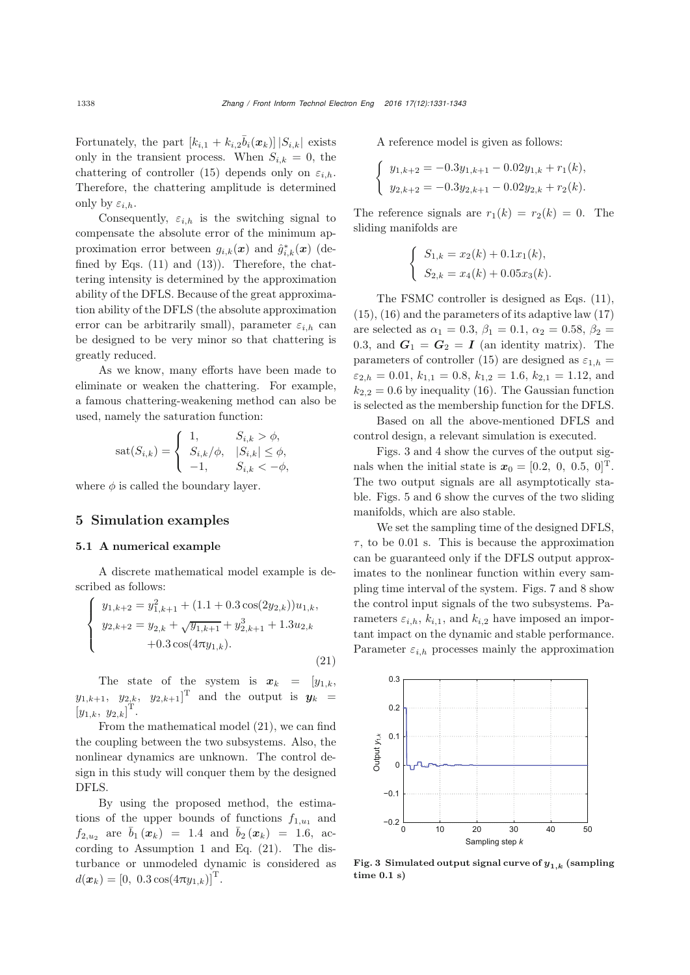Fortunately, the part  $[k_{i,1} + k_{i,2}b_i(\boldsymbol{x}_k)] |S_{i,k}|$  exists only in the transient process. When  $S_{i,k} = 0$ , the chattering of controller [\(15\)](#page-5-1) depends only on  $\varepsilon_{i,h}$ . Therefore, the chattering amplitude is determined only by  $\varepsilon_{i,h}$ .

Consequently,  $\varepsilon_{i,h}$  is the switching signal to compensate the absolute error of the minimum approximation error between  $g_{i,k}(\boldsymbol{x})$  and  $\hat{g}_{i,k}^*(\boldsymbol{x})$  (de-<br>fined by Eqs. (11) and (12)). Therefore, the chat fined by Eqs.  $(11)$  and  $(13)$ ). Therefore, the chattering intensity is determined by the approximation ability of the DFLS. Because of the great approximation ability of the DFLS (the absolute approximation error can be arbitrarily small), parameter  $\varepsilon_{i,h}$  can be designed to be very minor so that chattering is greatly reduced.

As we know, many efforts have been made to eliminate or weaken the chattering. For example, a famous chattering-weakening method can also be used, namely the saturation function:

$$
sat(S_{i,k}) = \begin{cases} 1, & S_{i,k} > \phi, \\ S_{i,k}/\phi, & |S_{i,k}| \le \phi, \\ -1, & S_{i,k} < -\phi, \end{cases}
$$

where  $\phi$  is called the boundary layer.

# 5 Simulation examples

### 5.1 A numerical example

A discrete mathematical model example is described as follows:

$$
\begin{cases}\ny_{1,k+2} = y_{1,k+1}^2 + (1.1 + 0.3 \cos(2y_{2,k}))u_{1,k}, \ny_{2,k+2} = y_{2,k} + \sqrt{y_{1,k+1}} + y_{2,k+1}^3 + 1.3u_{2,k} \n+0.3 \cos(4\pi y_{1,k}).\n\end{cases}
$$
\n(21)

The state of the system is  $x_k = [y_{1,k}]$ ,  $y_{1,k+1}, y_{2,k}, y_{2,k+1}]^{\text{T}}$  and the output is  $y_k =$  $[y_{1,k}, y_{2,k}]^{\mathrm{T}}$ .<br>From the

From the mathematical model [\(21\)](#page-7-0), we can find the coupling between the two subsystems. Also, the nonlinear dynamics are unknown. The control design in this study will conquer them by the designed DFLS.

By using the proposed method, the estimations of the upper bounds of functions  $f_{1,u_1}$  and  $f_{2,u_2}$  are  $\bar{b}_1(x_k)$  = 1.4 and  $\bar{b}_2(x_k)$  = 1.6, according to Assumption 1 and Eq. [\(21\)](#page-7-0). The disturbance or unmodeled dynamic is considered as  $d(\boldsymbol{x}_k) = [0, 0.3 \cos(4\pi y_{1,k})]^{\mathrm{T}}$ .

A reference model is given as follows:

$$
\begin{cases} y_{1,k+2} = -0.3y_{1,k+1} - 0.02y_{1,k} + r_1(k), \\ y_{2,k+2} = -0.3y_{2,k+1} - 0.02y_{2,k} + r_2(k). \end{cases}
$$

The reference signals are  $r_1(k) = r_2(k) = 0$ . The sliding manifolds are

$$
\begin{cases} S_{1,k} = x_2(k) + 0.1x_1(k), \\ S_{2,k} = x_4(k) + 0.05x_3(k). \end{cases}
$$

The FSMC controller is designed as Eqs. [\(11\)](#page-5-0),  $(15)$ ,  $(16)$  and the parameters of its adaptive law  $(17)$ are selected as  $\alpha_1 = 0.3, \beta_1 = 0.1, \alpha_2 = 0.58, \beta_2 =$ 0.3, and  $G_1 = G_2 = I$  (an identity matrix). The parameters of controller [\(15\)](#page-5-1) are designed as  $\varepsilon_{1,h}$  =  $\varepsilon_{2,h} = 0.01, k_{1,1} = 0.8, k_{1,2} = 1.6, k_{2,1} = 1.12, \text{ and }$  $k_{2,2} = 0.6$  by inequality [\(16\)](#page-5-3). The Gaussian function is selected as the membership function for the DFLS.

Based on all the above-mentioned DFLS and control design, a relevant simulation is executed.

Figs. 3 and 4 show the curves of the output signals when the initial state is  $x_0 = [0.2, 0, 0.5, 0]^T$ . The two output signals are all asymptotically stable. Figs. 5 and 6 show the curves of the two sliding manifolds, which are also stable.

We set the sampling time of the designed DFLS,  $\tau$ , to be 0.01 s. This is because the approximation can be guaranteed only if the DFLS output approximates to the nonlinear function within every sampling time interval of the system. Figs. 7 and 8 show the control input signals of the two subsystems. Parameters  $\varepsilon_{i,h}$ ,  $k_{i,1}$ , and  $k_{i,2}$  have imposed an important impact on the dynamic and stable performance. Parameter  $\varepsilon_{i,h}$  processes mainly the approximation

<span id="page-7-0"></span>

Fig. 3 Simulated output signal curve of  $y_{1,k}$  (sampling time  $0.1$  s)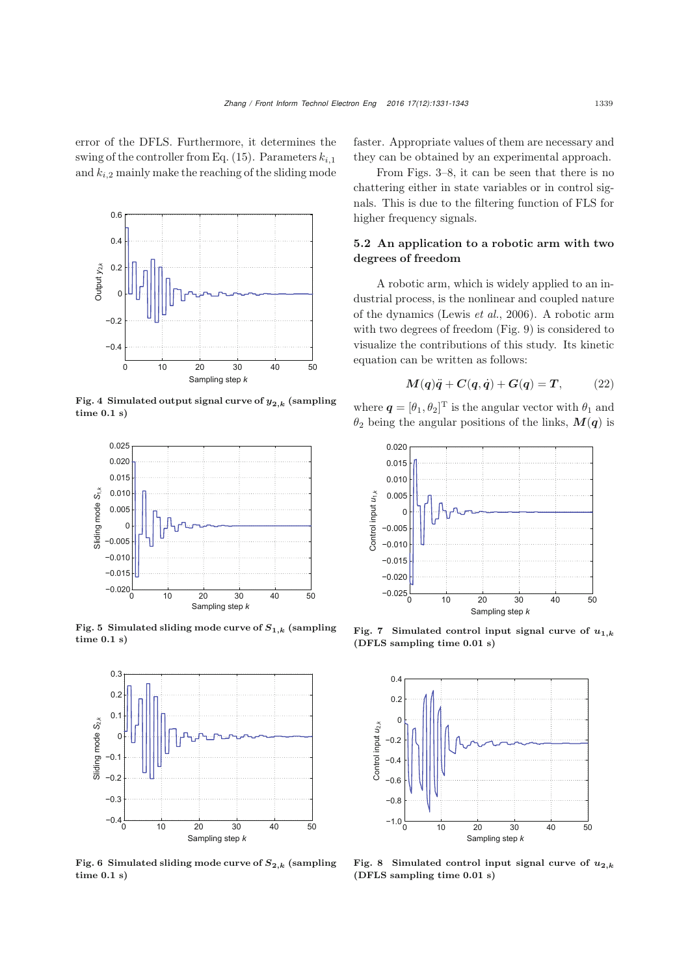error of the DFLS. Furthermore, it determines the swing of the controller from Eq. [\(15\)](#page-5-1). Parameters  $k_{i,1}$ and  $k_{i,2}$  mainly make the reaching of the sliding mode



Fig. 4 Simulated output signal curve of  $y_{2,k}$  (sampling time 0.1 s)



Fig. 5 Simulated sliding mode curve of  $S_{1,k}$  (sampling time 0.1 s)



Fig. 6 Simulated sliding mode curve of  $S_{2,k}$  (sampling time  $0.1 s$ 

faster. Appropriate values of them are necessary and they can be obtained by an experimental approach.

From Figs. 3–8, it can be seen that there is no chattering either in state variables or in control signals. This is due to the filtering function of FLS for higher frequency signals.

# 5.2 An application to a robotic arm with two degrees of freedom

A robotic arm, which is widely applied to an industrial process, is the nonlinear and coupled nature of the dynamics [\(Lewis](#page-12-21) *et al.*, [2006\)](#page-12-21). A robotic arm with two degrees of freedom (Fig. 9) is considered to visualize the contributions of this study. Its kinetic equation can be written as follows:

<span id="page-8-0"></span>
$$
M(q)\ddot{q} + C(q, \dot{q}) + G(q) = T, \qquad (22)
$$

where  $q = [\theta_1, \theta_2]^T$  is the angular vector with  $\theta_1$  and  $\theta_2$  being the angular positions of the links  $M(\alpha)$  is  $\theta_2$  being the angular positions of the links,  $M(q)$  is



Fig. 7 Simulated control input signal curve of  $u_{1,k}$ (DFLS sampling time 0.01 s)



Fig. 8 Simulated control input signal curve of  $u_{2,k}$ (DFLS sampling time 0.01 s)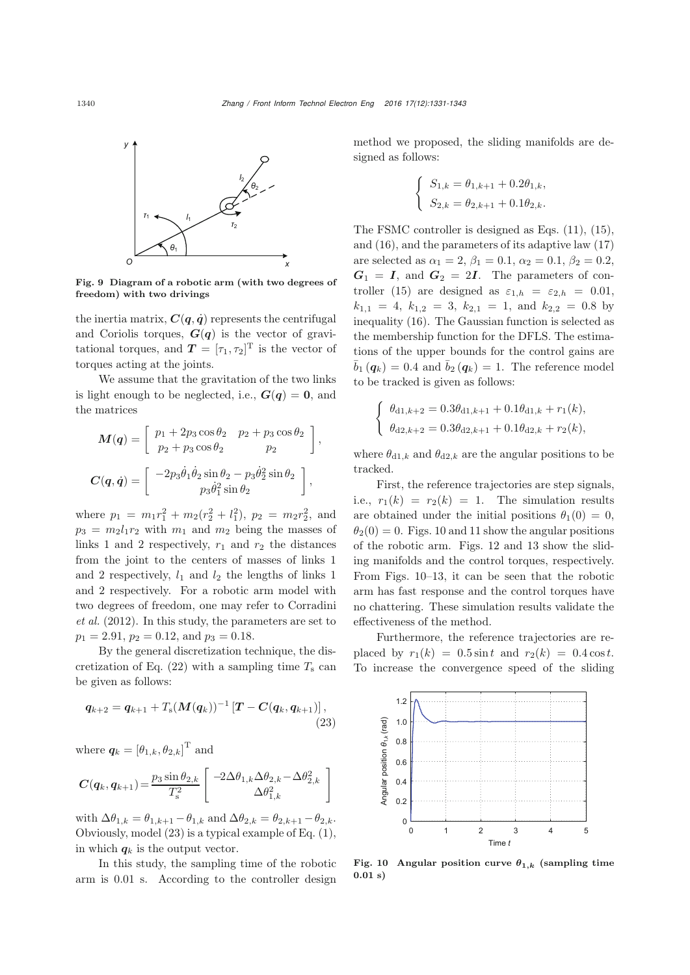

Fig. 9 Diagram of a robotic arm (with two degrees of freedom) with two drivings

the inertia matrix,  $C(q, \dot{q})$  represents the centrifugal and Coriolis torques,  $G(q)$  is the vector of gravitational torques, and  $\mathbf{T} = [\tau_1, \tau_2]^T$  is the vector of<br>torques esting at the isinte torques acting at the joints.

We assume that the gravitation of the two links is light enough to be neglected, i.e.,  $G(q) = 0$ , and the matrices

$$
\mathbf{M}(\mathbf{q}) = \begin{bmatrix} p_1 + 2p_3 \cos \theta_2 & p_2 + p_3 \cos \theta_2 \\ p_2 + p_3 \cos \theta_2 & p_2 \end{bmatrix},
$$

$$
\mathbf{C}(\mathbf{q}, \dot{\mathbf{q}}) = \begin{bmatrix} -2p_3 \dot{\theta}_1 \dot{\theta}_2 \sin \theta_2 - p_3 \dot{\theta}_2^2 \sin \theta_2 \\ p_3 \dot{\theta}_1^2 \sin \theta_2 \end{bmatrix},
$$

where  $p_1 = m_1 r_1^2 + m_2 (r_2^2 + l_1^2)$ ,  $p_2 = m_2 r_2^2$ , and<br> $p_1 = m_1 l_1 r_1$ , with  $m_2$  and  $m_3$ , being the masses of  $p_3 = m_2 l_1 r_2$  with  $m_1$  and  $m_2$  being the masses of links 1 and 2 respectively,  $r_1$  and  $r_2$  the distances from the joint to the centers of masses of links 1 and 2 respectively,  $l_1$  and  $l_2$  the lengths of links 1 and 2 respectively. For a robotic arm model with two [degrees](#page-11-11) [of](#page-11-11) [freedom,](#page-11-11) [one](#page-11-11) [may](#page-11-11) [refer](#page-11-11) [to](#page-11-11) Corradini *et al.* [\(2012](#page-11-11)). In this study, the parameters are set to  $p_1 = 2.91, p_2 = 0.12, \text{ and } p_3 = 0.18.$ 

By the general discretization technique, the dis-cretization of Eq. [\(22\)](#page-8-0) with a sampling time  $T_s$  can be given as follows:

$$
q_{k+2} = q_{k+1} + T_{\rm s}(M(q_k))^{-1} \left[ T - C(q_k, q_{k+1}) \right], \tag{23}
$$

where  $\boldsymbol{q}_k = \left[\theta_{1,k}, \theta_{2,k}\right]^{\text{T}}$  and

$$
C(q_k, q_{k+1}) = \frac{p_3 \sin \theta_{2,k}}{T_s^2} \left[ \begin{array}{c} -2\Delta \theta_{1,k} \Delta \theta_{2,k} - \Delta \theta_{2,k}^2 \\ \Delta \theta_{1,k}^2 \end{array} \right]
$$

with  $\Delta\theta_{1,k} = \theta_{1,k+1} - \theta_{1,k}$  and  $\Delta\theta_{2,k} = \theta_{2,k+1} - \theta_{2,k}$ . Obviously, model [\(23\)](#page-9-0) is a typical example of Eq. [\(1\)](#page-2-0), in which  $q_k$  is the output vector.

In this study, the sampling time of the robotic arm is 0.01 s. According to the controller design method we proposed, the sliding manifolds are designed as follows:

$$
\begin{cases} S_{1,k} = \theta_{1,k+1} + 0.2\theta_{1,k}, \\ S_{2,k} = \theta_{2,k+1} + 0.1\theta_{2,k}. \end{cases}
$$

The FSMC controller is designed as Eqs. [\(11\)](#page-5-0), [\(15\)](#page-5-1), and [\(16\)](#page-5-3), and the parameters of its adaptive law [\(17\)](#page-5-2) are selected as  $\alpha_1 = 2, \beta_1 = 0.1, \alpha_2 = 0.1, \beta_2 = 0.2,$  $G_1 = I$ , and  $G_2 = 2I$ . The parameters of con-troller [\(15\)](#page-5-1) are designed as  $\varepsilon_{1,h} = \varepsilon_{2,h} = 0.01$ ,  $k_{1,1} = 4$ ,  $k_{1,2} = 3$ ,  $k_{2,1} = 1$ , and  $k_{2,2} = 0.8$  by inequality [\(16\)](#page-5-3). The Gaussian function is selected as the membership function for the DFLS. The estimations of the upper bounds for the control gains are  $\bar{b}_1 (\mathbf{q}_k)=0.4$  and  $\bar{b}_2 (\mathbf{q}_k)=1$ . The reference model to be tracked is given as follows:

$$
\begin{cases} \n\theta_{d1,k+2} = 0.3\theta_{d1,k+1} + 0.1\theta_{d1,k} + r_1(k), \\
\theta_{d2,k+2} = 0.3\theta_{d2,k+1} + 0.1\theta_{d2,k} + r_2(k),\n\end{cases}
$$

where  $\theta_{d1,k}$  and  $\theta_{d2,k}$  are the angular positions to be tracked.

First, the reference trajectories are step signals, i.e.,  $r_1(k) = r_2(k) = 1$ . The simulation results are obtained under the initial positions  $\theta_1(0) = 0$ ,  $\theta_2(0) = 0$ . Figs. 10 and 11 show the angular positions of the robotic arm. Figs. 12 and 13 show the sliding manifolds and the control torques, respectively. From Figs. 10–13, it can be seen that the robotic arm has fast response and the control torques have no chattering. These simulation results validate the effectiveness of the method.

Furthermore, the reference trajectories are replaced by  $r_1(k)=0.5 \sin t$  and  $r_2(k)=0.4 \cos t$ . To increase the convergence speed of the sliding

<span id="page-9-0"></span>

Fig. 10 Angular position curve  $\theta_{1,k}$  (sampling time  $0.01 s)$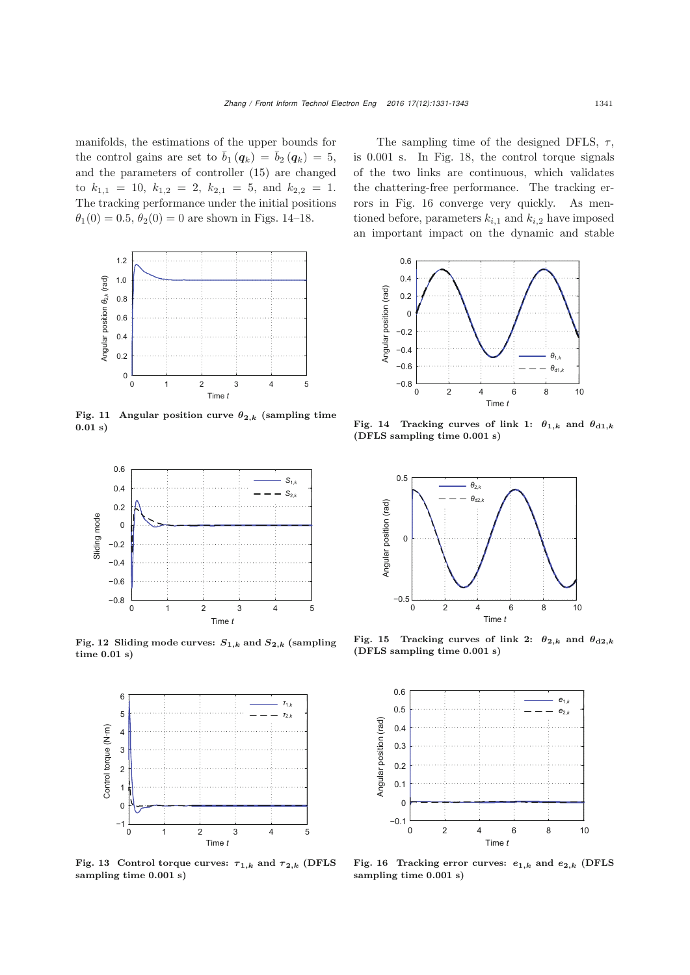manifolds, the estimations of the upper bounds for the control gains are set to  $\bar{b}_1 (\mathbf{q}_k) = \bar{b}_2 (\mathbf{q}_k) = 5$ , and the parameters of controller [\(15\)](#page-5-1) are changed to  $k_{1,1} = 10$ ,  $k_{1,2} = 2$ ,  $k_{2,1} = 5$ , and  $k_{2,2} = 1$ . The tracking performance under the initial positions  $\theta_1(0) = 0.5, \theta_2(0) = 0$  are shown in Figs. 14-18.



Fig. 11 Angular position curve  $\theta_{2,k}$  (sampling time 0.01 s)



Fig. 12 Sliding mode curves:  $S_{1,k}$  and  $S_{2,k}$  (sampling time 0.01 s)



Fig. 13 Control torque curves:  $\tau_{1,k}$  and  $\tau_{2,k}$  (DFLS sampling time 0.001 s)

The sampling time of the designed DFLS,  $\tau$ , is 0.001 s. In Fig. 18, the control torque signals of the two links are continuous, which validates the chattering-free performance. The tracking errors in Fig. 16 converge very quickly. As mentioned before, parameters  $k_{i,1}$  and  $k_{i,2}$  have imposed an important impact on the dynamic and stable



Fig. 14 Tracking curves of link 1:  $\theta_{1,k}$  and  $\theta_{d1,k}$ (DFLS sampling time 0.001 s)



Fig. 15 Tracking curves of link 2:  $\theta_{2,k}$  and  $\theta_{d2,k}$ (DFLS sampling time 0.001 s)



Fig. 16 Tracking error curves:  $e_{1,k}$  and  $e_{2,k}$  (DFLS sampling time 0.001 s)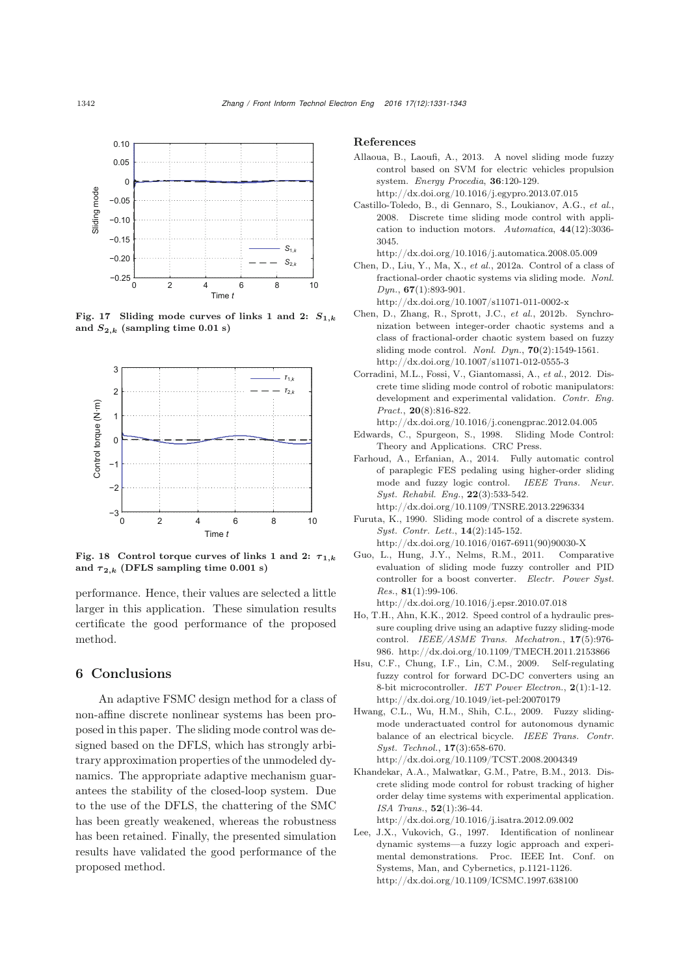

Fig. 17 Sliding mode curves of links 1 and 2:  $S_{1,k}$ and  $S_{2,k}$  (sampling time 0.01 s)



Fig. 18 Control torque curves of links 1 and 2:  $\tau_{1,k}$ and  $\tau_{2,k}$  (DFLS sampling time 0.001 s)

performance. Hence, their values are selected a little larger in this application. These simulation results certificate the good performance of the proposed method.

## 6 Conclusions

An adaptive FSMC design method for a class of non-affine discrete nonlinear systems has been proposed in this paper. The sliding mode control was designed based on the DFLS, which has strongly arbitrary approximation properties of the unmodeled dynamics. The appropriate adaptive mechanism guarantees the stability of the closed-loop system. Due to the use of the DFLS, the chattering of the SMC has been greatly weakened, whereas the robustness has been retained. Finally, the presented simulation results have validated the good performance of the proposed method.

#### References

- <span id="page-11-8"></span>Allaoua, B., Laoufi, A., 2013. A novel sliding mode fuzzy control based on SVM for electric vehicles propulsion system. *Energy Procedia*, 36:120-129.
- http://dx.doi.org/10.1016/j.egypro.2013.07.015 Castillo-Toledo, B., di Gennaro, S., Loukianov, A.G., *et al.*,
- <span id="page-11-13"></span>2008. Discrete time sliding mode control with application to induction motors. *Automatica*, 44(12):3036- 3045.

http://dx.doi.org/10.1016/j.automatica.2008.05.009

<span id="page-11-2"></span>Chen, D., Liu, Y., Ma, X., *et al.*, 2012a. Control of a class of fractional-order chaotic systems via sliding mode. *Nonl. Dyn.*, 67(1):893-901.

http://dx.doi.org/10.1007/s11071-011-0002-x

- <span id="page-11-3"></span>Chen, D., Zhang, R., Sprott, J.C., *et al.*, 2012b. Synchronization between integer-order chaotic systems and a class of fractional-order chaotic system based on fuzzy sliding mode control. *Nonl. Dyn.*, 70(2):1549-1561. http://dx.doi.org/10.1007/s11071-012-0555-3
- <span id="page-11-11"></span>Corradini, M.L., Fossi, V., Giantomassi, A., *et al.*, 2012. Discrete time sliding mode control of robotic manipulators: development and experimental validation. *Contr. Eng. Pract.*, 20(8):816-822.
	- http://dx.doi.org/10.1016/j.conengprac.2012.04.005
- <span id="page-11-0"></span>Edwards, C., Spurgeon, S., 1998. Sliding Mode Control: Theory and Applications. CRC Press.
- <span id="page-11-9"></span>Farhoud, A., Erfanian, A., 2014. Fully automatic control of paraplegic FES pedaling using higher-order sliding mode and fuzzy logic control. *IEEE Trans. Neur. Syst. Rehabil. Eng.*, 22(3):533-542. http://dx.doi.org/10.1109/TNSRE.2013.2296334
- <span id="page-11-10"></span>Furuta, K., 1990. Sliding mode control of a discrete system. *Syst. Contr. Lett.*, 14(2):145-152. http://dx.doi.org/10.1016/0167-6911(90)90030-X
- <span id="page-11-6"></span>Guo, L., Hung, J.Y., Nelms, R.M., 2011. Comparative evaluation of sliding mode fuzzy controller and PID controller for a boost converter. *Electr. Power Syst. Res.*, 81(1):99-106.

http://dx.doi.org/10.1016/j.epsr.2010.07.018

- <span id="page-11-5"></span>Ho, T.H., Ahn, K.K., 2012. Speed control of a hydraulic pressure coupling drive using an adaptive fuzzy sliding-mode control. *IEEE/ASME Trans. Mechatron.*, 17(5):976- 986. http://dx.doi.org/10.1109/TMECH.2011.2153866
- <span id="page-11-7"></span>Hsu, C.F., Chung, I.F., Lin, C.M., 2009. Self-regulating fuzzy control for forward DC-DC converters using an 8-bit microcontroller. *IET Power Electron.*, 2(1):1-12. http://dx.doi.org/10.1049/iet-pel:20070179
- <span id="page-11-4"></span>Hwang, C.L., Wu, H.M., Shih, C.L., 2009. Fuzzy slidingmode underactuated control for autonomous dynamic balance of an electrical bicycle. *IEEE Trans. Contr. Syst. Technol.*, 17(3):658-670. http://dx.doi.org/10.1109/TCST.2008.2004349
- <span id="page-11-12"></span>Khandekar, A.A., Malwatkar, G.M., Patre, B.M., 2013. Discrete sliding mode control for robust tracking of higher order delay time systems with experimental application. *ISA Trans.*, 52(1):36-44.

http://dx.doi.org/10.1016/j.isatra.2012.09.002

<span id="page-11-1"></span>Lee, J.X., Vukovich, G., 1997. Identification of nonlinear dynamic systems—a fuzzy logic approach and experimental demonstrations. Proc. IEEE Int. Conf. on Systems, Man, and Cybernetics, p.1121-1126. http://dx.doi.org/10.1109/ICSMC.1997.638100